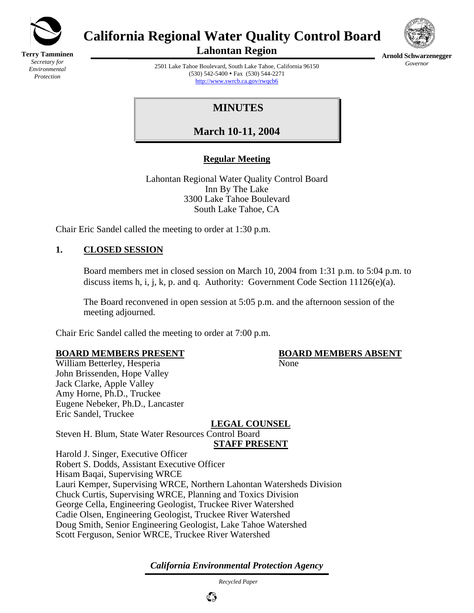

**Terry Tamminen** *Secretary for Environmental Protection*

# **California Regional Water Quality Control Board**



**Lahontan Region** 

**Arnold Schwarzenegger** *Governor* 

2501 Lake Tahoe Boulevard, South Lake Tahoe, California 96150 (530) 542-5400 • Fax (530) 544-2271 [http://www.swrcb.ca.gov/rwqcb6](http://www.swrcb.ca.gov/rwqcb6/)

 **MINUTES** 

**March 10-11, 2004**

## **Regular Meeting**

Lahontan Regional Water Quality Control Board Inn By The Lake 3300 Lake Tahoe Boulevard South Lake Tahoe, CA

Chair Eric Sandel called the meeting to order at 1:30 p.m.

### **1. CLOSED SESSION**

Board members met in closed session on March 10, 2004 from 1:31 p.m. to 5:04 p.m. to discuss items h, i, j, k, p. and q. Authority: Government Code Section 11126(e)(a).

The Board reconvened in open session at 5:05 p.m. and the afternoon session of the meeting adjourned.

Chair Eric Sandel called the meeting to order at 7:00 p.m.

#### **BOARD MEMBERS PRESENT BOARD MEMBERS ABSENT**

William Betterley, Hesperia None John Brissenden, Hope Valley Jack Clarke, Apple Valley Amy Horne, Ph.D., Truckee Eugene Nebeker, Ph.D., Lancaster Eric Sandel, Truckee

**LEGAL COUNSEL**

Steven H. Blum, State Water Resources Control Board

**STAFF PRESENT**

Harold J. Singer, Executive Officer Robert S. Dodds, Assistant Executive Officer Hisam Baqai, Supervising WRCE Lauri Kemper, Supervising WRCE, Northern Lahontan Watersheds Division Chuck Curtis, Supervising WRCE, Planning and Toxics Division George Cella, Engineering Geologist, Truckee River Watershed Cadie Olsen, Engineering Geologist, Truckee River Watershed Doug Smith, Senior Engineering Geologist, Lake Tahoe Watershed Scott Ferguson, Senior WRCE, Truckee River Watershed

*California Environmental Protection Agency*

 *Recycled Paper*

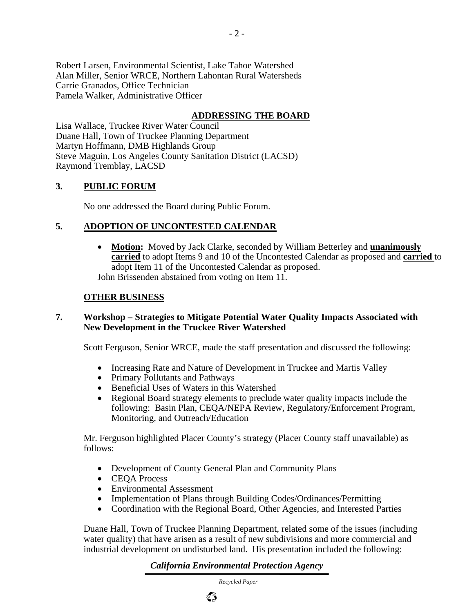Robert Larsen, Environmental Scientist, Lake Tahoe Watershed Alan Miller, Senior WRCE, Northern Lahontan Rural Watersheds Carrie Granados, Office Technician Pamela Walker, Administrative Officer

#### **ADDRESSING THE BOARD**

Lisa Wallace, Truckee River Water Council Duane Hall, Town of Truckee Planning Department Martyn Hoffmann, DMB Highlands Group Steve Maguin, Los Angeles County Sanitation District (LACSD) Raymond Tremblay, LACSD

#### **3. PUBLIC FORUM**

No one addressed the Board during Public Forum.

#### **5. ADOPTION OF UNCONTESTED CALENDAR**

• **Motion:** Moved by Jack Clarke, seconded by William Betterley and **unanimously carried** to adopt Items 9 and 10 of the Uncontested Calendar as proposed and **carried** to adopt Item 11 of the Uncontested Calendar as proposed. John Brissenden abstained from voting on Item 11.

#### **OTHER BUSINESS**

#### **7. Workshop – Strategies to Mitigate Potential Water Quality Impacts Associated with New Development in the Truckee River Watershed**

Scott Ferguson, Senior WRCE, made the staff presentation and discussed the following:

- Increasing Rate and Nature of Development in Truckee and Martis Valley
- Primary Pollutants and Pathways
- Beneficial Uses of Waters in this Watershed
- Regional Board strategy elements to preclude water quality impacts include the following: Basin Plan, CEQA/NEPA Review, Regulatory/Enforcement Program, Monitoring, and Outreach/Education

Mr. Ferguson highlighted Placer County's strategy (Placer County staff unavailable) as follows:

- Development of County General Plan and Community Plans
- CEQA Process
- Environmental Assessment
- Implementation of Plans through Building Codes/Ordinances/Permitting
- Coordination with the Regional Board, Other Agencies, and Interested Parties

Duane Hall, Town of Truckee Planning Department, related some of the issues (including water quality) that have arisen as a result of new subdivisions and more commercial and industrial development on undisturbed land. His presentation included the following:

### *California Environmental Protection Agency*

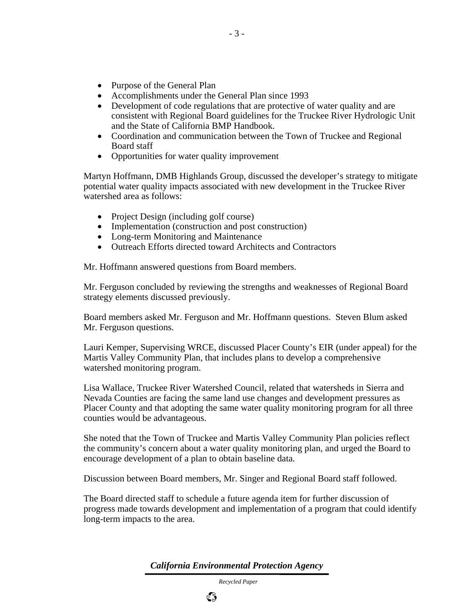- Purpose of the General Plan
- Accomplishments under the General Plan since 1993
- Development of code regulations that are protective of water quality and are consistent with Regional Board guidelines for the Truckee River Hydrologic Unit and the State of California BMP Handbook.
- Coordination and communication between the Town of Truckee and Regional Board staff
- Opportunities for water quality improvement

Martyn Hoffmann, DMB Highlands Group, discussed the developer's strategy to mitigate potential water quality impacts associated with new development in the Truckee River watershed area as follows:

- Project Design (including golf course)
- Implementation (construction and post construction)
- Long-term Monitoring and Maintenance
- Outreach Efforts directed toward Architects and Contractors

Mr. Hoffmann answered questions from Board members.

Mr. Ferguson concluded by reviewing the strengths and weaknesses of Regional Board strategy elements discussed previously.

Board members asked Mr. Ferguson and Mr. Hoffmann questions. Steven Blum asked Mr. Ferguson questions.

Lauri Kemper, Supervising WRCE, discussed Placer County's EIR (under appeal) for the Martis Valley Community Plan, that includes plans to develop a comprehensive watershed monitoring program.

Lisa Wallace, Truckee River Watershed Council, related that watersheds in Sierra and Nevada Counties are facing the same land use changes and development pressures as Placer County and that adopting the same water quality monitoring program for all three counties would be advantageous.

She noted that the Town of Truckee and Martis Valley Community Plan policies reflect the community's concern about a water quality monitoring plan, and urged the Board to encourage development of a plan to obtain baseline data.

Discussion between Board members, Mr. Singer and Regional Board staff followed.

The Board directed staff to schedule a future agenda item for further discussion of progress made towards development and implementation of a program that could identify long-term impacts to the area.

*California Environmental Protection Agency*

 *Recycled Paper*

९७

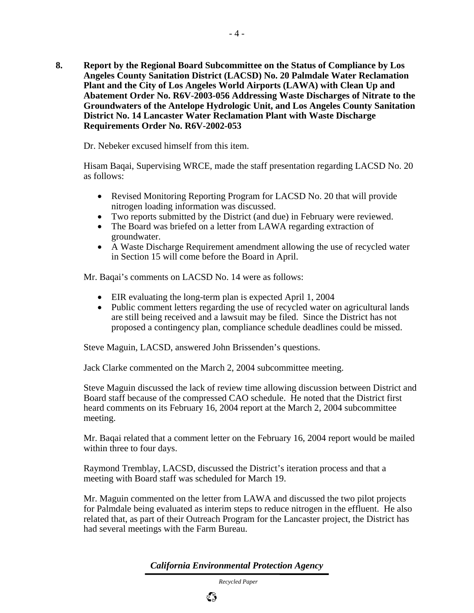**8. Report by the Regional Board Subcommittee on the Status of Compliance by Los Angeles County Sanitation District (LACSD) No. 20 Palmdale Water Reclamation Plant and the City of Los Angeles World Airports (LAWA) with Clean Up and Abatement Order No. R6V-2003-056 Addressing Waste Discharges of Nitrate to the Groundwaters of the Antelope Hydrologic Unit, and Los Angeles County Sanitation District No. 14 Lancaster Water Reclamation Plant with Waste Discharge Requirements Order No. R6V-2002-053** 

Dr. Nebeker excused himself from this item.

Hisam Baqai, Supervising WRCE, made the staff presentation regarding LACSD No. 20 as follows:

- Revised Monitoring Reporting Program for LACSD No. 20 that will provide nitrogen loading information was discussed.
- Two reports submitted by the District (and due) in February were reviewed.
- The Board was briefed on a letter from LAWA regarding extraction of groundwater.
- A Waste Discharge Requirement amendment allowing the use of recycled water in Section 15 will come before the Board in April.

Mr. Baqai's comments on LACSD No. 14 were as follows:

- EIR evaluating the long-term plan is expected April 1, 2004<br>• Public comment letters regarding the use of recycled water of
- Public comment letters regarding the use of recycled water on agricultural lands are still being received and a lawsuit may be filed. Since the District has not proposed a contingency plan, compliance schedule deadlines could be missed.

Steve Maguin, LACSD, answered John Brissenden's questions.

Jack Clarke commented on the March 2, 2004 subcommittee meeting.

Steve Maguin discussed the lack of review time allowing discussion between District and Board staff because of the compressed CAO schedule. He noted that the District first heard comments on its February 16, 2004 report at the March 2, 2004 subcommittee meeting.

Mr. Baqai related that a comment letter on the February 16, 2004 report would be mailed within three to four days.

Raymond Tremblay, LACSD, discussed the District's iteration process and that a meeting with Board staff was scheduled for March 19.

Mr. Maguin commented on the letter from LAWA and discussed the two pilot projects for Palmdale being evaluated as interim steps to reduce nitrogen in the effluent. He also related that, as part of their Outreach Program for the Lancaster project, the District has had several meetings with the Farm Bureau.

*California Environmental Protection Agency*

 *Recycled Paper*

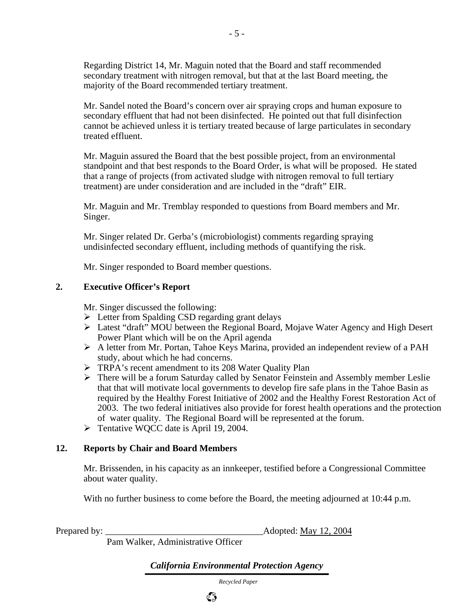Regarding District 14, Mr. Maguin noted that the Board and staff recommended secondary treatment with nitrogen removal, but that at the last Board meeting, the majority of the Board recommended tertiary treatment.

Mr. Sandel noted the Board's concern over air spraying crops and human exposure to secondary effluent that had not been disinfected. He pointed out that full disinfection cannot be achieved unless it is tertiary treated because of large particulates in secondary treated effluent.

Mr. Maguin assured the Board that the best possible project, from an environmental standpoint and that best responds to the Board Order, is what will be proposed. He stated that a range of projects (from activated sludge with nitrogen removal to full tertiary treatment) are under consideration and are included in the "draft" EIR.

Mr. Maguin and Mr. Tremblay responded to questions from Board members and Mr. Singer.

Mr. Singer related Dr. Gerba's (microbiologist) comments regarding spraying undisinfected secondary effluent, including methods of quantifying the risk.

Mr. Singer responded to Board member questions.

#### **2. Executive Officer's Report**

Mr. Singer discussed the following:

- $\triangleright$  Letter from Spalding CSD regarding grant delays
- ¾ Latest "draft" MOU between the Regional Board, Mojave Water Agency and High Desert Power Plant which will be on the April agenda
- ¾ A letter from Mr. Portan, Tahoe Keys Marina, provided an independent review of a PAH study, about which he had concerns.
- ¾ TRPA's recent amendment to its 208 Water Quality Plan
- ¾ There will be a forum Saturday called by Senator Feinstein and Assembly member Leslie that that will motivate local governments to develop fire safe plans in the Tahoe Basin as required by the Healthy Forest Initiative of 2002 and the Healthy Forest Restoration Act of 2003. The two federal initiatives also provide for forest health operations and the protection of water quality. The Regional Board will be represented at the forum.
- $\triangleright$  Tentative WQCC date is April 19, 2004.

#### **12. Reports by Chair and Board Members**

Mr. Brissenden, in his capacity as an innkeeper, testified before a Congressional Committee about water quality.

With no further business to come before the Board, the meeting adjourned at 10:44 p.m.

Prepared by: \_\_\_\_\_\_\_\_\_\_\_\_\_\_\_\_\_\_\_\_\_\_\_\_\_\_\_\_\_\_\_\_\_\_Adopted: May 12, 2004

Pam Walker, Administrative Officer

*California Environmental Protection Agency*

 *Recycled Paper*

९४